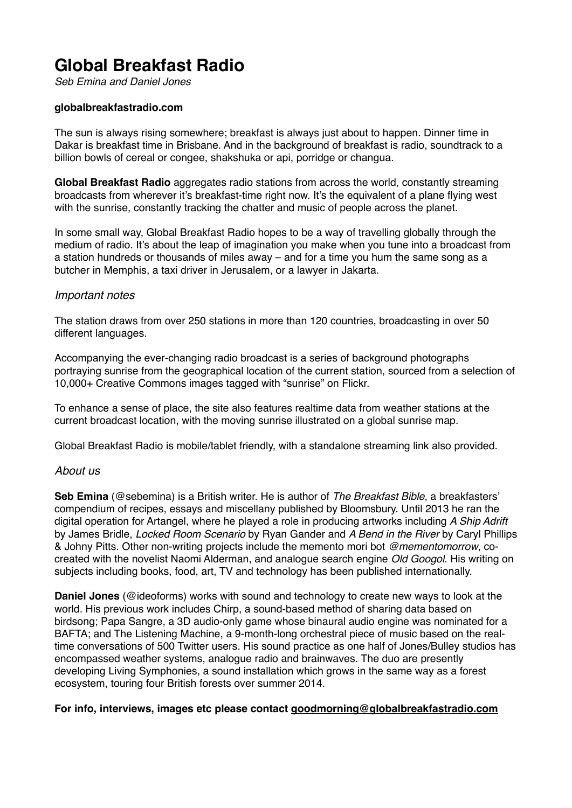# **Global Breakfast Radio**

*Seb Emina and Daniel Jones*

### **globalbreakfastradio.com**

The sun is always rising somewhere; breakfast is always just about to happen. Dinner time in Dakar is breakfast time in Brisbane. And in the background of breakfast is radio, soundtrack to a billion bowls of cereal or congee, shakshuka or api, porridge or changua.

**Global Breakfast Radio** aggregates radio stations from across the world, constantly streaming broadcasts from wherever it's breakfast-time right now. It's the equivalent of a plane flying west with the sunrise, constantly tracking the chatter and music of people across the planet.

In some small way, Global Breakfast Radio hopes to be a way of travelling globally through the medium of radio. It's about the leap of imagination you make when you tune into a broadcast from a station hundreds or thousands of miles away – and for a time you hum the same song as a butcher in Memphis, a taxi driver in Jerusalem, or a lawyer in Jakarta.

### *Important notes*

The station draws from over 250 stations in more than 120 countries, broadcasting in over 50 different languages.

Accompanying the ever-changing radio broadcast is a series of background photographs portraying sunrise from the geographical location of the current station, sourced from a selection of 10,000+ Creative Commons images tagged with "sunrise" on Flickr.

To enhance a sense of place, the site also features realtime data from weather stations at the current broadcast location, with the moving sunrise illustrated on a global sunrise map.

Global Breakfast Radio is mobile/tablet friendly, with a standalone streaming link also provided.

## *About us*

**Seb Emina** (@sebemina) is a British writer. He is author of *The Breakfast Bible*, a breakfasters' compendium of recipes, essays and miscellany published by Bloomsbury. Until 2013 he ran the digital operation for Artangel, where he played a role in producing artworks including *A Ship Adrift* by James Bridle, *Locked Room Scenario* by Ryan Gander and *A Bend in the River* by Caryl Phillips & Johny Pitts. Other non-writing projects include the memento mori bot *@mementomorrow*, cocreated with the novelist Naomi Alderman, and analogue search engine *Old Googol*. His writing on subjects including books, food, art, TV and technology has been published internationally.

**Daniel Jones** (@ideoforms) works with sound and technology to create new ways to look at the world. His previous work includes Chirp, a sound-based method of sharing data based on birdsong; Papa Sangre, a 3D audio-only game whose binaural audio engine was nominated for a BAFTA; and The Listening Machine, a 9-month-long orchestral piece of music based on the realtime conversations of 500 Twitter users. His sound practice as one half of Jones/Bulley studios has encompassed weather systems, analogue radio and brainwaves. The duo are presently developing Living Symphonies, a sound installation which grows in the same way as a forest ecosystem, touring four British forests over summer 2014.

#### **For info, interviews, images etc please contact [goodmorning@globalbreakfastradio.com](mailto:goodmorning@globalbreakfastradio.com)**